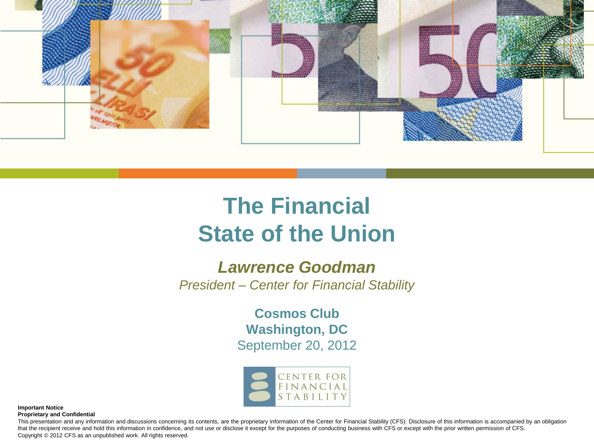

# **The Financial State of the Union**

#### *Lawrence Goodman*

*President – Center for Financial Stability*

**Cosmos Club Washington, DC** September 20, 2012



**Important Notice Proprietary and Confidential**

This presentation and any information and discussions concerning its contents, are the proprietary information of the Center for Financial Stability (CFS). Disclosure of this information is accompanied by an obligation that the recipient receive and hold this information in confidence, and not use or disclose it except for the purposes of conducting business with CFS or except with the prior written permission of CFS. Copyright © 2012 CFS as an unpublished work. All rights reserved.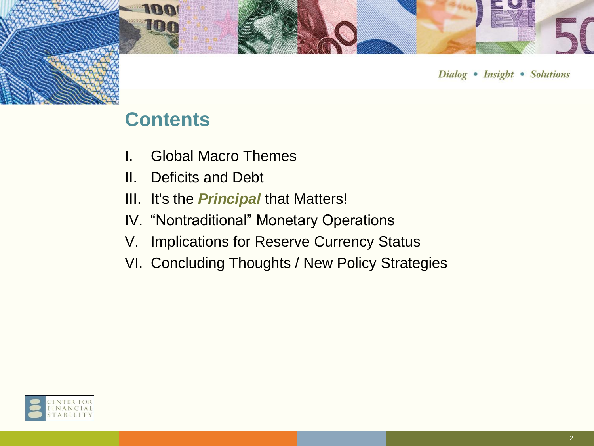

## **Contents**

**In** 

HII

- I. Global Macro Themes
- II. Deficits and Debt
- III. It's the *Principal* that Matters!
- IV. "Nontraditional" Monetary Operations
- V. Implications for Reserve Currency Status
- VI. Concluding Thoughts / New Policy Strategies

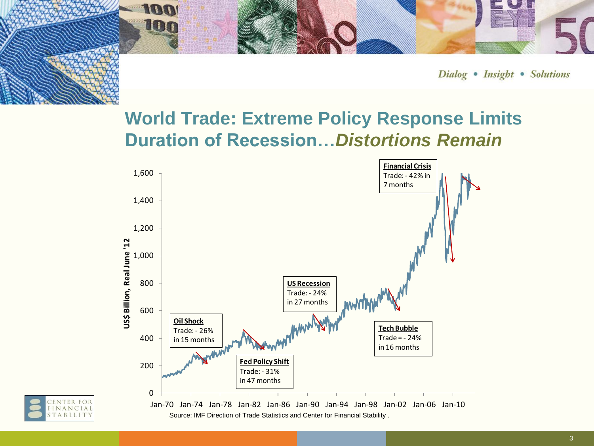

## **World Trade: Extreme Policy Response Limits Duration of Recession…***Distortions Remain*



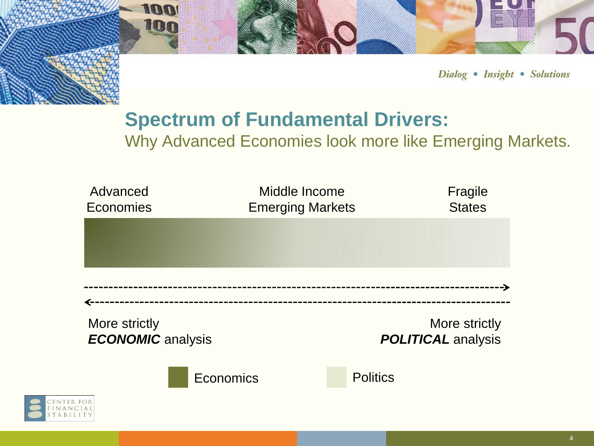

## **Spectrum of Fundamental Drivers:**

100

100

Why Advanced Economies look more like Emerging Markets.

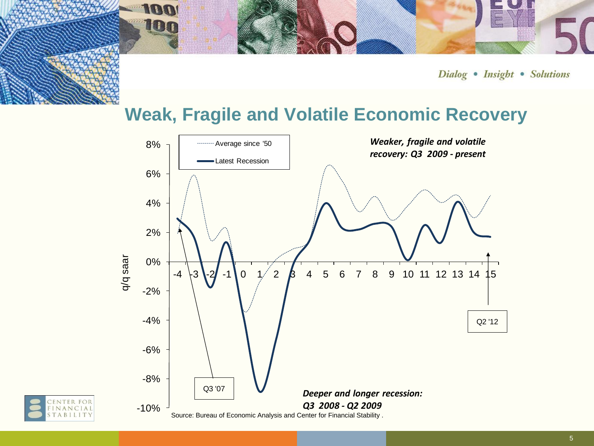#### **Weak, Fragile and Volatile Economic Recovery**





100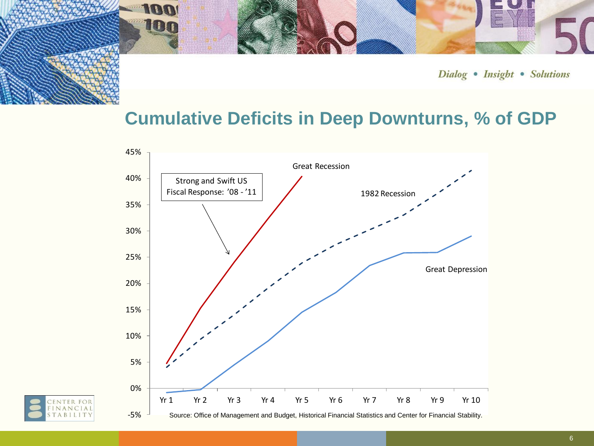### **Cumulative Deficits in Deep Downturns, % of GDP**



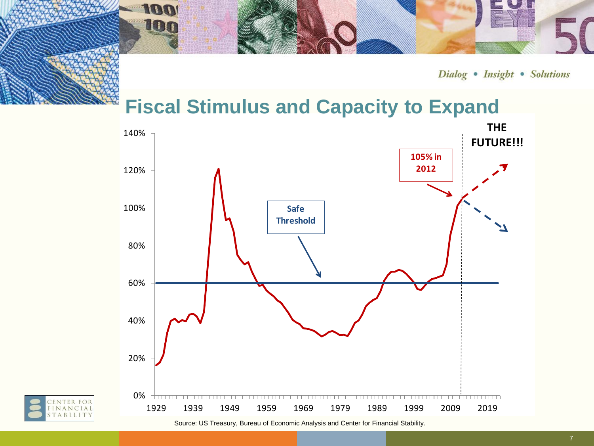Dialog • Insight • Solutions

## **Fiscal Stimulus and Capacity to Expand**

100

100

NTER FOR<br>NANCIAL ABILIT



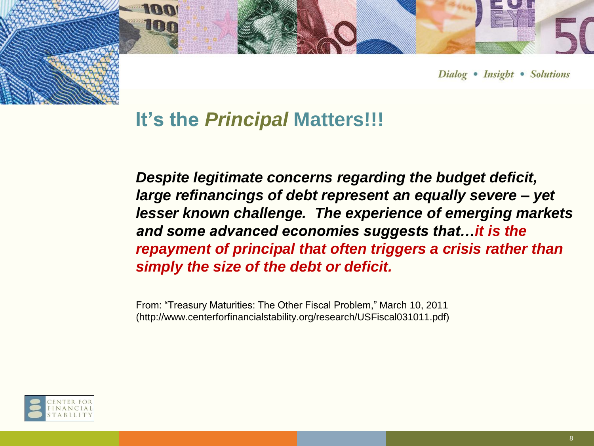

### **It's the** *Principal* **Matters!!!**

*Despite legitimate concerns regarding the budget deficit, large refinancings of debt represent an equally severe – yet lesser known challenge. The experience of emerging markets and some advanced economies suggests that…it is the repayment of principal that often triggers a crisis rather than simply the size of the debt or deficit.*

From: "Treasury Maturities: The Other Fiscal Problem," March 10, 2011 (http://www.centerforfinancialstability.org/research/USFiscal031011.pdf)

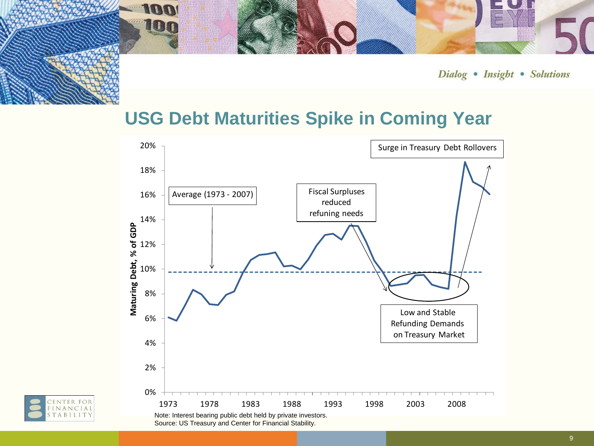

### **USG Debt Maturities Spike in Coming Year**



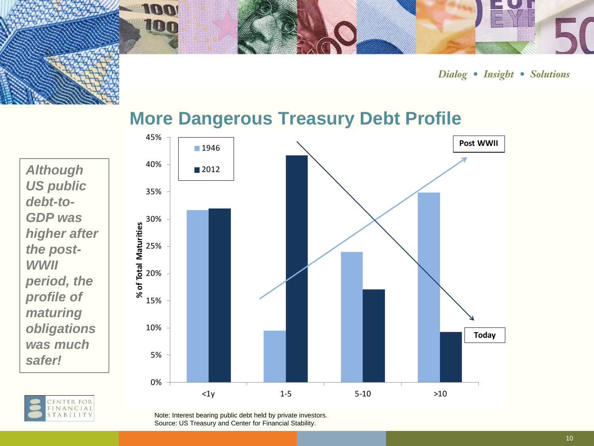

#### **More Dangerous Treasury Debt Profile**

*Although US public debt-to-GDP was higher after the post-WWII period, the profile of maturing obligations was much safer!*

> NTER FOR **ANCIAL** ABILIT

**100** 

**HET** 

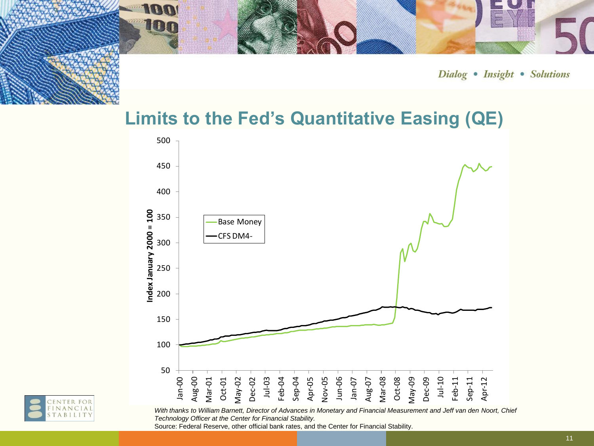

### **Limits to the Fed's Quantitative Easing (QE)**





*With thanks to William Barnett, Director of Advances in Monetary and Financial Measurement and Jeff van den Noort, Chief Technology Officer at the Center for Financial Stability.*

Source: Federal Reserve, other official bank rates, and the Center for Financial Stability.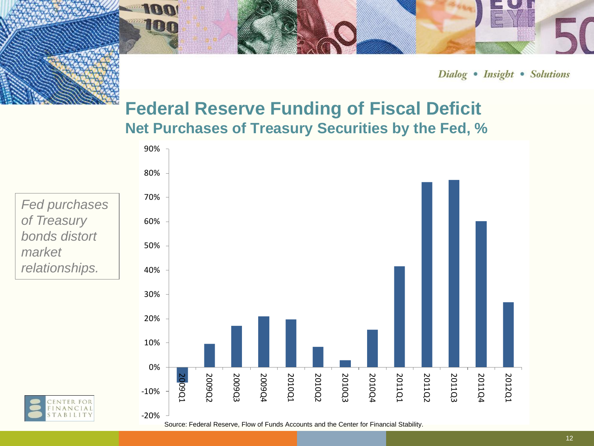#### **Federal Reserve Funding of Fiscal Deficit Net Purchases of Treasury Securities by the Fed, %**

*Fed purchases of Treasury bonds distort market relationships.*



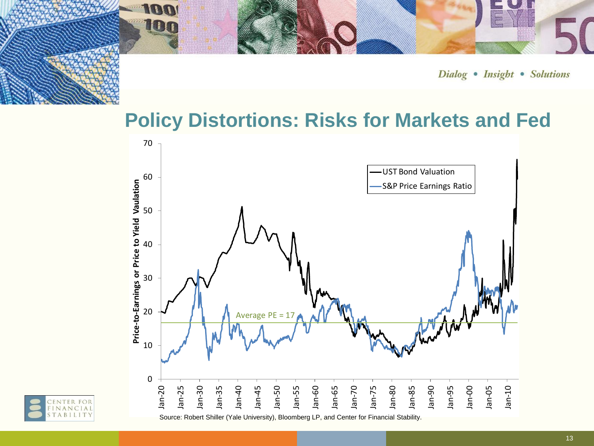# **Policy Distortions: Risks for Markets and Fed**



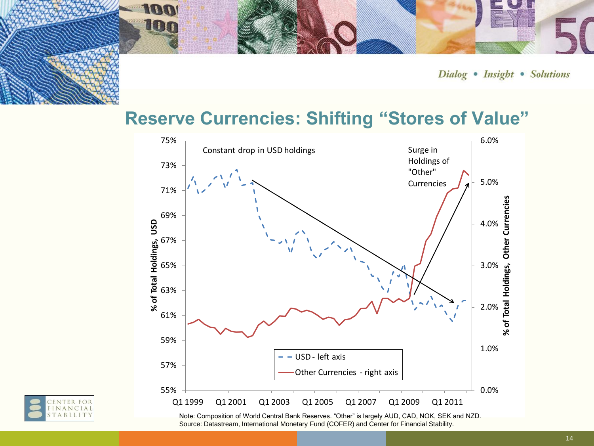#### **Reserve Currencies: Shifting "Stores of Value"**





Note: Composition of World Central Bank Reserves. "Other" is largely AUD, CAD, NOK, SEK and NZD. Source: Datastream, International Monetary Fund (COFER) and Center for Financial Stability.